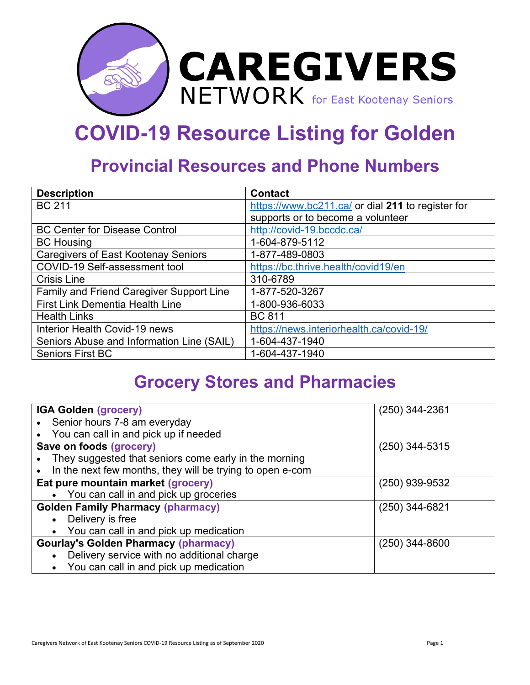

## **COVID-19 Resource Listing for Golden**

## **Provincial Resources and Phone Numbers**

| <b>Description</b>                         | <b>Contact</b>                                    |
|--------------------------------------------|---------------------------------------------------|
| <b>BC 211</b>                              | https://www.bc211.ca/ or dial 211 to register for |
|                                            | supports or to become a volunteer                 |
| <b>BC Center for Disease Control</b>       | http://covid-19.bccdc.ca/                         |
| <b>BC Housing</b>                          | 1-604-879-5112                                    |
| <b>Caregivers of East Kootenay Seniors</b> | 1-877-489-0803                                    |
| COVID-19 Self-assessment tool              | https://bc.thrive.health/covid19/en               |
| <b>Crisis Line</b>                         | 310-6789                                          |
| Family and Friend Caregiver Support Line   | 1-877-520-3267                                    |
| <b>First Link Dementia Health Line</b>     | 1-800-936-6033                                    |
| <b>Health Links</b>                        | <b>BC 811</b>                                     |
| Interior Health Covid-19 news              | https://news.interiorhealth.ca/covid-19/          |
| Seniors Abuse and Information Line (SAIL)  | 1-604-437-1940                                    |
| <b>Seniors First BC</b>                    | 1-604-437-1940                                    |

## **Grocery Stores and Pharmacies**

| <b>IGA Golden (grocery)</b>                               | $(250)$ 344-2361 |
|-----------------------------------------------------------|------------------|
| Senior hours 7-8 am everyday                              |                  |
| You can call in and pick up if needed                     |                  |
| Save on foods (grocery)                                   | $(250)$ 344-5315 |
| They suggested that seniors come early in the morning     |                  |
| In the next few months, they will be trying to open e-com |                  |
| Eat pure mountain market (grocery)                        | $(250)$ 939-9532 |
| • You can call in and pick up groceries                   |                  |
| <b>Golden Family Pharmacy (pharmacy)</b>                  | $(250)$ 344-6821 |
| Delivery is free<br>$\bullet$                             |                  |
| You can call in and pick up medication                    |                  |
| <b>Gourlay's Golden Pharmacy (pharmacy)</b>               | $(250)$ 344-8600 |
| Delivery service with no additional charge<br>$\bullet$   |                  |
| You can call in and pick up medication<br>$\bullet$       |                  |